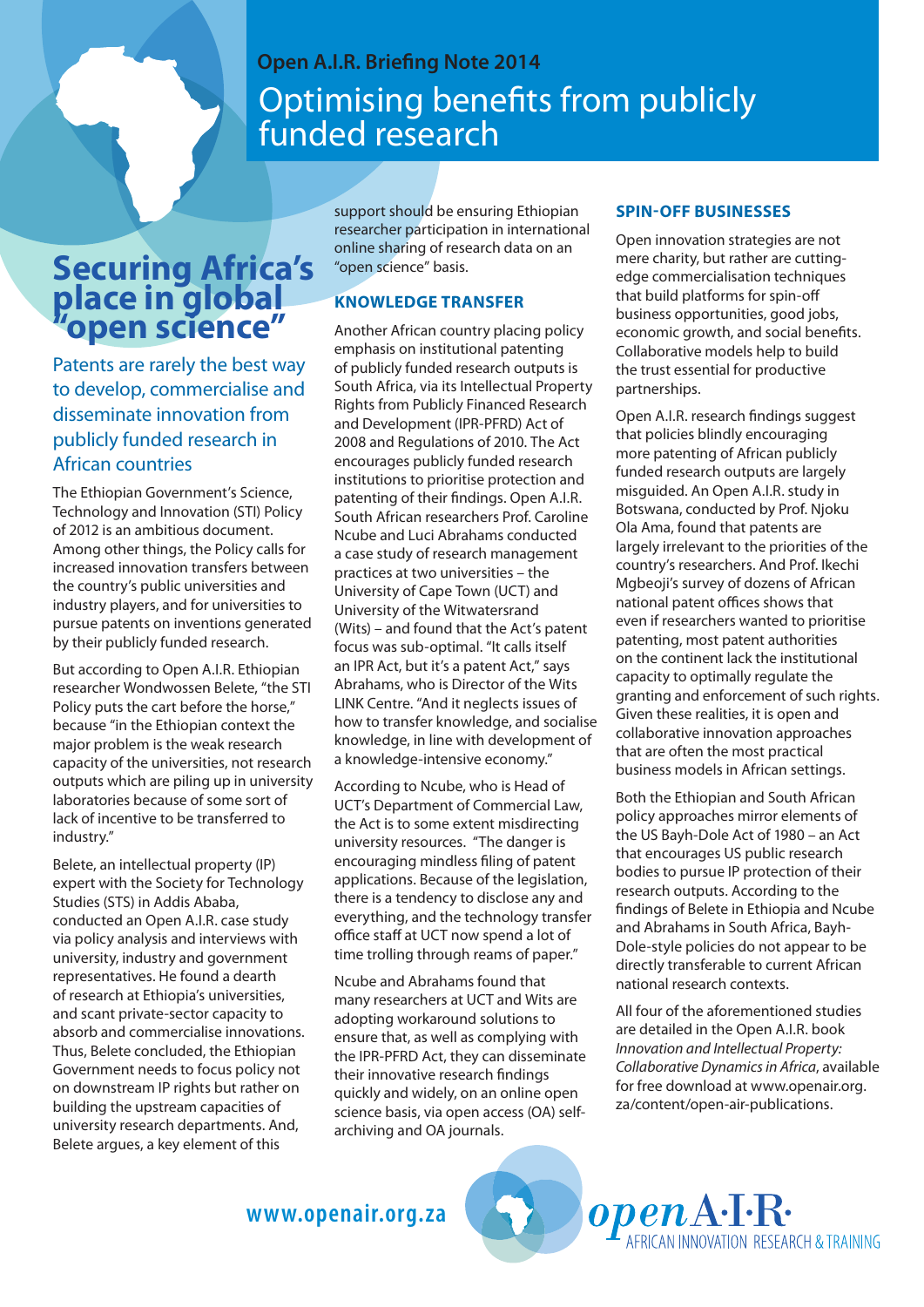# Optimising benefits from publicly funded research **Open A.I.R. Briefing Note 2014**

# **Securing Africa's**  place in global **"open science"**

Patents are rarely the best way to develop, commercialise and disseminate innovation from publicly funded research in African countries

The Ethiopian Government's Science, Technology and Innovation (STI) Policy of 2012 is an ambitious document. Among other things, the Policy calls for increased innovation transfers between the country's public universities and industry players, and for universities to pursue patents on inventions generated by their publicly funded research.

But according to Open A.I.R. Ethiopian researcher Wondwossen Belete, "the STI Policy puts the cart before the horse," because "in the Ethiopian context the major problem is the weak research capacity of the universities, not research outputs which are piling up in university laboratories because of some sort of lack of incentive to be transferred to industry."

Belete, an intellectual property (IP) expert with the Society for Technology Studies (STS) in Addis Ababa, conducted an Open A.I.R. case study via policy analysis and interviews with university, industry and government representatives. He found a dearth of research at Ethiopia's universities, and scant private-sector capacity to absorb and commercialise innovations. Thus, Belete concluded, the Ethiopian Government needs to focus policy not on downstream IP rights but rather on building the upstream capacities of university research departments. And, Belete argues, a key element of this

support should be ensuring Ethiopian researcher participation in international online sharing of research data on an "open science" basis.

### **KNOWLEDGE TRANSFER**

Another African country placing policy emphasis on institutional patenting of publicly funded research outputs is South Africa, via its Intellectual Property Rights from Publicly Financed Research and Development (IPR-PFRD) Act of 2008 and Regulations of 2010. The Act encourages publicly funded research institutions to prioritise protection and patenting of their findings. Open A.I.R. South African researchers Prof. Caroline Ncube and Luci Abrahams conducted a case study of research management practices at two universities – the University of Cape Town (UCT) and University of the Witwatersrand (Wits) – and found that the Act's patent focus was sub-optimal. "It calls itself an IPR Act, but it's a patent Act," says Abrahams, who is Director of the Wits LINK Centre. "And it neglects issues of how to transfer knowledge, and socialise knowledge, in line with development of a knowledge-intensive economy."

According to Ncube, who is Head of UCT's Department of Commercial Law, the Act is to some extent misdirecting university resources. "The danger is encouraging mindless filing of patent applications. Because of the legislation, there is a tendency to disclose any and everything, and the technology transfer office staff at UCT now spend a lot of time trolling through reams of paper."

me upstream capacities of exploring terms of access and the cases (OA) self-exploritent/open-air-publical proper<br>Interact departments. And, exploring and OA journals. Ncube and Abrahams found that many researchers at UCT and Wits are adopting workaround solutions to ensure that, as well as complying with the IPR-PFRD Act, they can disseminate their innovative research findings quickly and widely, on an online open archiving and OA journals.

> Deutsche Gesellscha für Internationale Zusammenarbeit (GIZ) GmbH

### **SPIN-OFF BUSINESSES**

Open innovation strategies are not mere charity, but rather are cuttingedge commercialisation techniques that build platforms for spin-off business opportunities, good jobs, economic growth, and social benefits. Collaborative models help to build the trust essential for productive partnerships.

Open A.I.R. research findings suggest that policies blindly encouraging more patenting of African publicly funded research outputs are largely misguided. An Open A.I.R. study in Botswana, conducted by Prof. Njoku Ola Ama, found that patents are largely irrelevant to the priorities of the country's researchers. And Prof. Ikechi Mgbeoji's survey of dozens of African national patent offices shows that even if researchers wanted to prioritise patenting, most patent authorities on the continent lack the institutional capacity to optimally regulate the granting and enforcement of such rights. Given these realities, it is open and collaborative innovation approaches that are often the most practical business models in African settings.

Both the Ethiopian and South African policy approaches mirror elements of the US Bayh-Dole Act of 1980 – an Act that encourages US public research bodies to pursue IP protection of their research outputs. According to the findings of Belete in Ethiopia and Ncube and Abrahams in South Africa, Bayh-Dole-style policies do not appear to be directly transferable to current African national research contexts.

All four of the aforementioned studies are detailed in the Open A.I.R. book *Innovation and Intellectual Property: Collaborative Dynamics in Africa*, available for free download at www.openair.org. za/content/open-air-publications.

**RICAN INNOVATION RESEARCH & TRAINING** 

*openA*-I-R·

**www.openair.org.za**